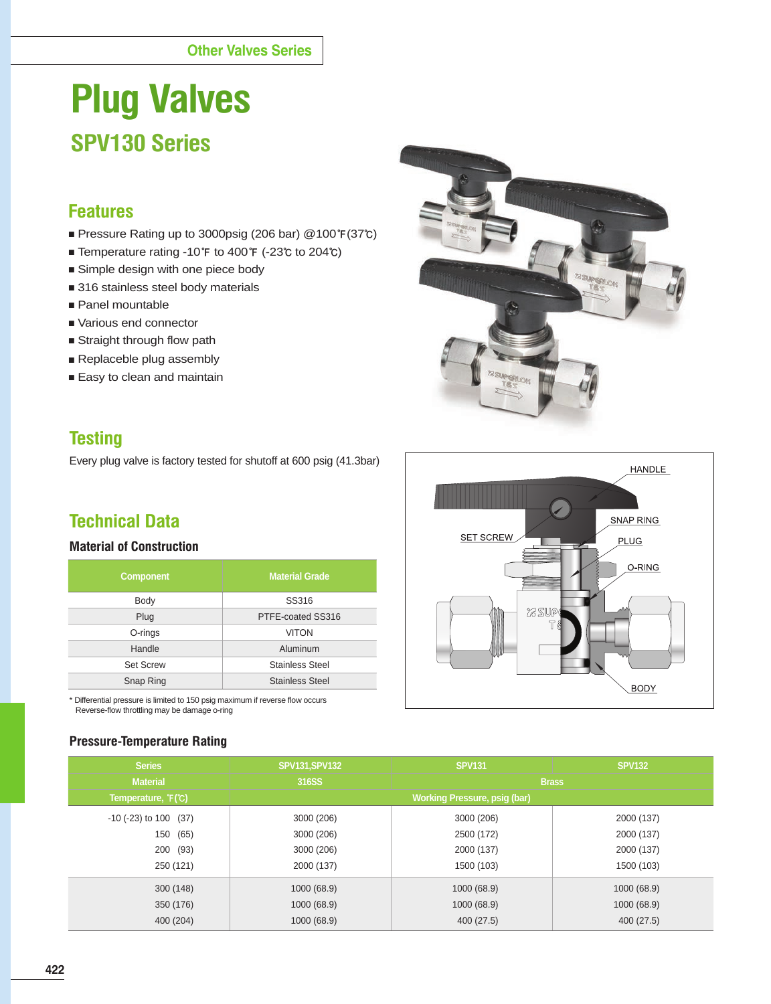# **Plug Valves SPV130 Series**

## **Features**

- Pressure Rating up to 3000psig (206 bar) @100**℉**(37**℃**)
- Temperature rating -10**℉** to 400**℉** (-23**℃** to 204**℃**)
- Simple design with one piece body
- 316 stainless steel body materials
- Panel mountable
- Various end connector
- Straight through flow path
- Replaceble plug assembly
- Easy to clean and maintain

# **Testing**

Every plug valve is factory tested for shutoff at 600 psig (41.3bar)

# **Technical Data**

#### **Material of Construction**

| <b>Component</b> | <b>Material Grade</b>  |
|------------------|------------------------|
| Body             | SS316                  |
| Plug             | PTFE-coated SS316      |
| O-rings          | <b>VITON</b>           |
| Handle           | Aluminum               |
| <b>Set Screw</b> | <b>Stainless Steel</b> |
| Snap Ring        | <b>Stainless Steel</b> |

\* Differential pressure is limited to 150 psig maximum if reverse flow occurs Reverse-flow throttling may be damage o-ring

#### **Pressure-Temperature Rating**





| <b>Series</b>                 | <b>SPV131, SPV132</b>         | <b>SPV131</b> | <b>SPV132</b> |  |  |  |  |  |  |
|-------------------------------|-------------------------------|---------------|---------------|--|--|--|--|--|--|
| <b>Material</b>               | 316SS                         | <b>Brass</b>  |               |  |  |  |  |  |  |
| Temperature, F(C)             | Working Pressure, psig (bar), |               |               |  |  |  |  |  |  |
| $-10$ ( $-23$ ) to $100$ (37) | 3000 (206)                    | 3000 (206)    | 2000 (137)    |  |  |  |  |  |  |
| (65)<br>150                   | 3000 (206)                    | 2500 (172)    | 2000 (137)    |  |  |  |  |  |  |
| 200 (93)                      | 3000 (206)                    | 2000 (137)    | 2000 (137)    |  |  |  |  |  |  |
| 250 (121)                     | 2000 (137)                    | 1500 (103)    | 1500 (103)    |  |  |  |  |  |  |
| 300(148)                      | 1000 (68.9)                   | 1000 (68.9)   | 1000 (68.9)   |  |  |  |  |  |  |
| 350 (176)                     | 1000 (68.9)                   | 1000 (68.9)   | 1000 (68.9)   |  |  |  |  |  |  |
| 400 (204)                     | 1000 (68.9)                   | 400 (27.5)    | 400 (27.5)    |  |  |  |  |  |  |